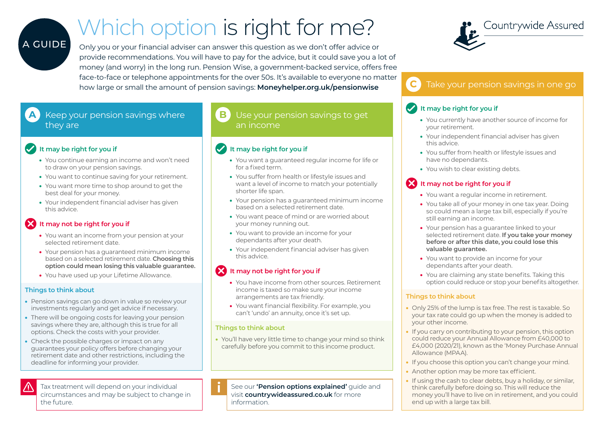# Which option is right for me?

Only you or your financial adviser can answer this question as we don't offer advice or provide recommendations. You will have to pay for the advice, but it could save you a lot of money (and worry) in the long run. Pension Wise, a government-backed service, offers free face-to-face or telephone appointments for the over 50s. It's available to everyone no matter how large or small the amount of pension savings: **[Moneyhelper.org.uk/pensionwise](https://www.moneyhelper.org.uk/en/pensions-and-retirement/pension-wise)**

# **A** Keep your pension savings where they are

## **It may be right for you if**

A GUIDE

- You continue earning an income and won't need to draw on your pension savings.
- You want to continue saving for your retirement.
- You want more time to shop around to get the best deal for your money.
- Your independent financial adviser has given this advice.

# **12** It may not be right for you if

- You want an income from your pension at your selected retirement date.
- Your pension has a guaranteed minimum income based on a selected retirement date. **Choosing this option could mean losing this valuable guarantee.**
- You have used up your Lifetime Allowance.

#### **Things to think about**

- Pension savings can go down in value so review your investments regularly and get advice if necessary.
- There will be ongoing costs for leaving your pension savings where they are, although this is true for all options. Check the costs with your provider.
- Check the possible charges or impact on any guarantees your policy offers before changing your retirement date and other restrictions, including the deadline for informing your provider.



Tax treatment will depend on your individual circumstances and may be subject to change in the future.

## Use your pension savings to get an income

## **It may be right for you if**

- You want a guaranteed regular income for life or for a fixed term.
- You suffer from health or lifestyle issues and want a level of income to match your potentially shorter life span.
- Your pension has a guaranteed minimum income based on a selected retirement date.
- You want peace of mind or are worried about your money running out.
- You want to provide an income for your dependants after your death.
- Your independent financial adviser has given this advice.

## **12** It may not be right for you if

- You have income from other sources. Retirement income is taxed so make sure your income arrangements are tax friendly.
- You want financial flexibility. For example, you can't 'undo' an annuity, once it's set up.

#### **Things to think about**

• You'll have very little time to change your mind so think carefully before you commit to this income product.

See our **'Pension options explained'** guide and visit **[countrywideassured.co.uk](https://www.countrywideassured.co.uk/)** for more information.



# **C** Take your pension savings in one go

### **It may be right for you if**

- You currently have another source of income for your retirement.
- Your independent financial adviser has given this advice.
- You suffer from health or lifestyle issues and have no dependants.
- You wish to clear existing debts.

# **X** It may not be right for you if

- You want a regular income in retirement.
- You take all of your money in one tax year. Doing so could mean a large tax bill, especially if you're still earning an income.
- Your pension has a guarantee linked to your selected retirement date. **If you take your money before or after this date, you could lose this valuable guarantee.**
- You want to provide an income for your dependants after your death.
- You are claiming any state benefits. Taking this option could reduce or stop your benefits altogether.

#### **Things to think about**

- Only 25% of the lump is tax free. The rest is taxable. So your tax rate could go up when the money is added to your other income.
- If you carry on contributing to your pension, this option could reduce your Annual Allowance from £40,000 to £4,000 (2020/21), known as the 'Money Purchase Annual Allowance (MPAA).
- If you choose this option you can't change your mind.
- Another option may be more tax efficient.
- If using the cash to clear debts, buy a holiday, or similar, think carefully before doing so. This will reduce the money you'll have to live on in retirement, and you could end up with a large tax bill.